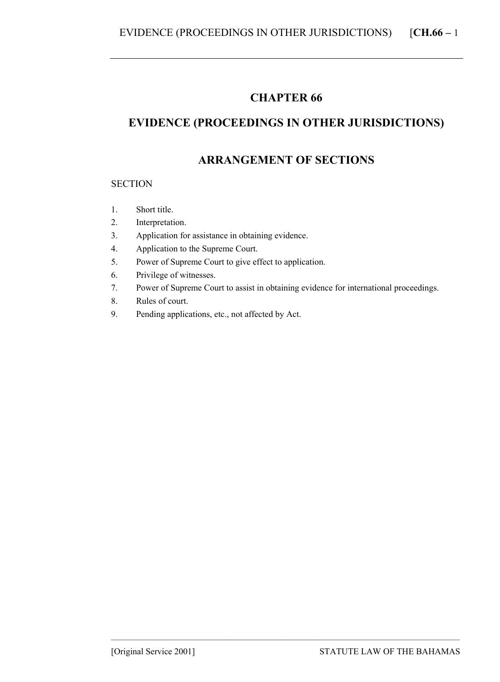## **CHAPTER 66**

# **EVIDENCE (PROCEEDINGS IN OTHER JURISDICTIONS)**

## **ARRANGEMENT OF SECTIONS**

#### **SECTION**

- 1. Short title.
- 2. Interpretation.
- 3. Application for assistance in obtaining evidence.
- 4. Application to the Supreme Court.
- 5. Power of Supreme Court to give effect to application.
- 6. Privilege of witnesses.
- 7. Power of Supreme Court to assist in obtaining evidence for international proceedings.

–––––––––––––––––––––––––––––––––––––––––––––––––––––––––––––––––––––––––––––––

- 8. Rules of court.
- 9. Pending applications, etc., not affected by Act.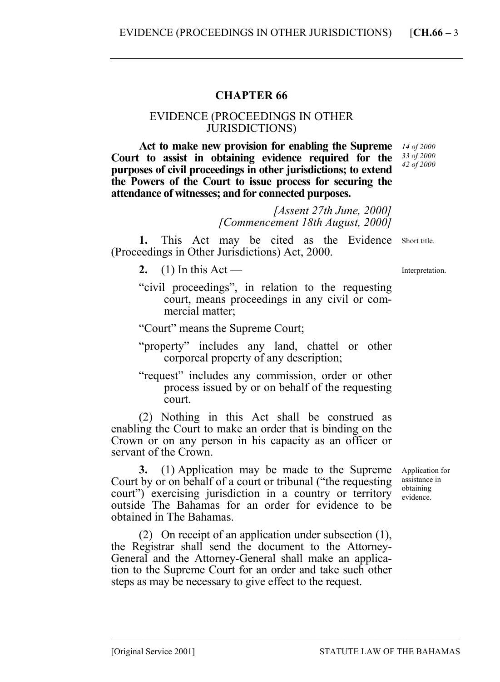### **CHAPTER 66**

#### EVIDENCE (PROCEEDINGS IN OTHER JURISDICTIONS)

**Act to make new provision for enabling the Supreme Court to assist in obtaining evidence required for the purposes of civil proceedings in other jurisdictions; to extend the Powers of the Court to issue process for securing the attendance of witnesses; and for connected purposes.** 

*14 of 2000 33 of 2000 42 of 2000* 

*[Assent 27th June, 2000] [Commencement 18th August, 2000]* 

1. This Act may be cited as the Evidence Short title. (Proceedings in Other Jurisdictions) Act, 2000.

- **2.** (1) In this Act —
- "civil proceedings", in relation to the requesting court, means proceedings in any civil or commercial matter;

"Court" means the Supreme Court;

- "property" includes any land, chattel or other corporeal property of any description;
- "request" includes any commission, order or other process issued by or on behalf of the requesting court.

(2) Nothing in this Act shall be construed as enabling the Court to make an order that is binding on the Crown or on any person in his capacity as an officer or servant of the Crown.

**3.** (1) Application may be made to the Supreme Court by or on behalf of a court or tribunal ("the requesting court") exercising jurisdiction in a country or territory outside The Bahamas for an order for evidence to be obtained in The Bahamas.

(2) On receipt of an application under subsection (1), the Registrar shall send the document to the Attorney-General and the Attorney-General shall make an application to the Supreme Court for an order and take such other steps as may be necessary to give effect to the request.

–––––––––––––––––––––––––––––––––––––––––––––––––––––––––––––––––––––––––––––––

Interpretation.

Application for assistance in obtaining evidence.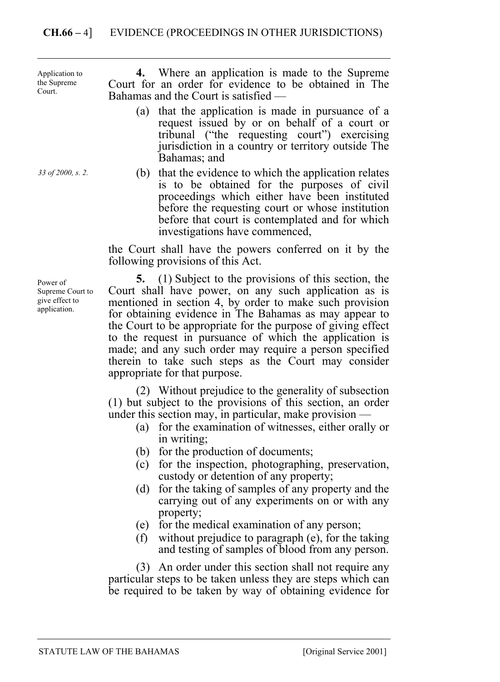### **CH.66 –** 4] EVIDENCE (PROCEEDINGS IN OTHER JURISDICTIONS)

**4.** Where an application is made to the Supreme Court for an order for evidence to be obtained in The Bahamas and the Court is satisfied — (a) that the application is made in pursuance of a request issued by or on behalf of a court or tribunal ("the requesting court") exercising jurisdiction in a country or territory outside The Bahamas; and (b) that the evidence to which the application relates is to be obtained for the purposes of civil proceedings which either have been instituted before the requesting court or whose institution before that court is contemplated and for which investigations have commenced, the Court shall have the powers conferred on it by the following provisions of this Act. Application to the Supreme Court. *33 of 2000, s. 2.* 

> **5.** (1) Subject to the provisions of this section, the Court shall have power, on any such application as is mentioned in section 4, by order to make such provision for obtaining evidence in The Bahamas as may appear to the Court to be appropriate for the purpose of giving effect to the request in pursuance of which the application is made; and any such order may require a person specified therein to take such steps as the Court may consider appropriate for that purpose.

(2) Without prejudice to the generality of subsection (1) but subject to the provisions of this section, an order under this section may, in particular, make provision —

- (a) for the examination of witnesses, either orally or in writing;
- (b) for the production of documents;
- (c) for the inspection, photographing, preservation, custody or detention of any property;
- (d) for the taking of samples of any property and the carrying out of any experiments on or with any property;
- (e) for the medical examination of any person;
- (f) without prejudice to paragraph (e), for the taking and testing of samples of blood from any person.

(3) An order under this section shall not require any particular steps to be taken unless they are steps which can be required to be taken by way of obtaining evidence for

Power of Supreme Court to give effect to application.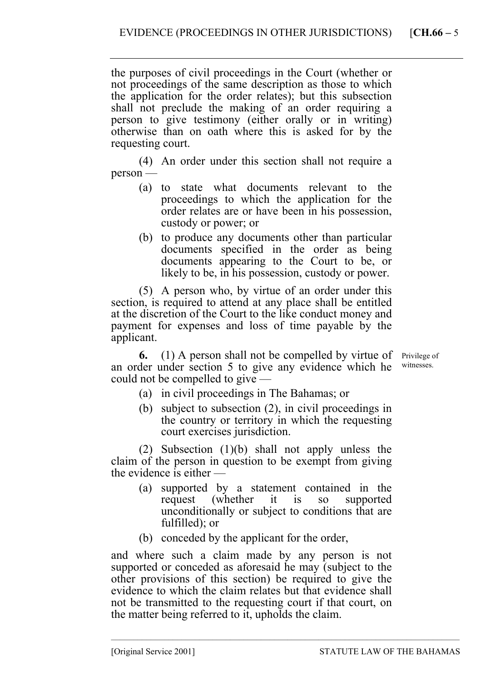the purposes of civil proceedings in the Court (whether or not proceedings of the same description as those to which the application for the order relates); but this subsection shall not preclude the making of an order requiring a person to give testimony (either orally or in writing) otherwise than on oath where this is asked for by the requesting court.

(4) An order under this section shall not require a person —

- (a) to state what documents relevant to the proceedings to which the application for the order relates are or have been in his possession, custody or power; or
- (b) to produce any documents other than particular documents specified in the order as being documents appearing to the Court to be, or likely to be, in his possession, custody or power.

(5) A person who, by virtue of an order under this section, is required to attend at any place shall be entitled at the discretion of the Court to the like conduct money and payment for expenses and loss of time payable by the applicant.

**6.** (1) A person shall not be compelled by virtue of Privilege of an order under section 5 to give any evidence which he could not be compelled to give —

witnesses.

- (a) in civil proceedings in The Bahamas; or
- (b) subject to subsection (2), in civil proceedings in the country or territory in which the requesting court exercises jurisdiction.

(2) Subsection (1)(b) shall not apply unless the claim of the person in question to be exempt from giving the evidence is either —

- (a) supported by a statement contained in the request (whether it is so supported unconditionally or subject to conditions that are fulfilled); or
- (b) conceded by the applicant for the order,

and where such a claim made by any person is not supported or conceded as aforesaid he may (subject to the other provisions of this section) be required to give the evidence to which the claim relates but that evidence shall not be transmitted to the requesting court if that court, on the matter being referred to it, upholds the claim.

–––––––––––––––––––––––––––––––––––––––––––––––––––––––––––––––––––––––––––––––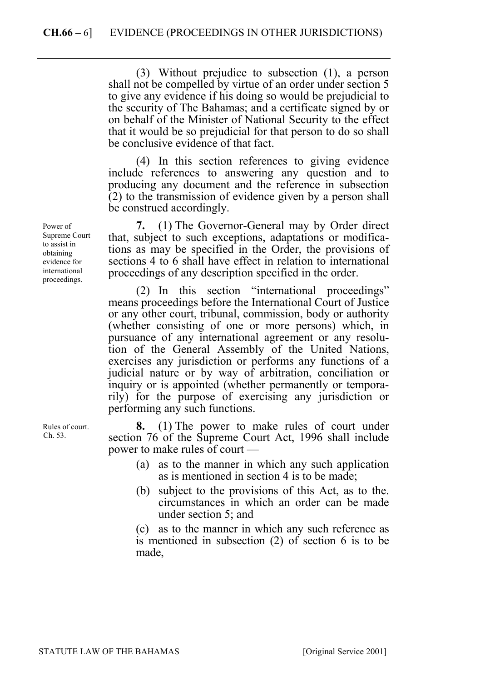(3) Without prejudice to subsection (1), a person shall not be compelled by virtue of an order under section 5 to give any evidence if his doing so would be prejudicial to the security of The Bahamas; and a certificate signed by or on behalf of the Minister of National Security to the effect that it would be so prejudicial for that person to do so shall be conclusive evidence of that fact.

(4) In this section references to giving evidence include references to answering any question and to producing any document and the reference in subsection (2) to the transmission of evidence given by a person shall be construed accordingly.

**7.** (1) The Governor-General may by Order direct that, subject to such exceptions, adaptations or modifications as may be specified in the Order, the provisions of sections 4 to 6 shall have effect in relation to international proceedings of any description specified in the order.

(2) In this section "international proceedings" means proceedings before the International Court of Justice or any other court, tribunal, commission, body or authority (whether consisting of one or more persons) which, in pursuance of any international agreement or any resolution of the General Assembly of the United Nations, exercises any jurisdiction or performs any functions of a judicial nature or by way of arbitration, conciliation or inquiry or is appointed (whether permanently or temporarily) for the purpose of exercising any jurisdiction or performing any such functions.

**8.** (1) The power to make rules of court under section 76 of the Supreme Court Act, 1996 shall include power to make rules of court —

- (a) as to the manner in which any such application as is mentioned in section 4 is to be made;
- (b) subject to the provisions of this Act, as to the. circumstances in which an order can be made under section 5; and

(c) as to the manner in which any such reference as is mentioned in subsection (2) of section 6 is to be made,

Power of Supreme Court to assist in obtaining evidence for international proceedings.

Rules of court. Ch. 53.